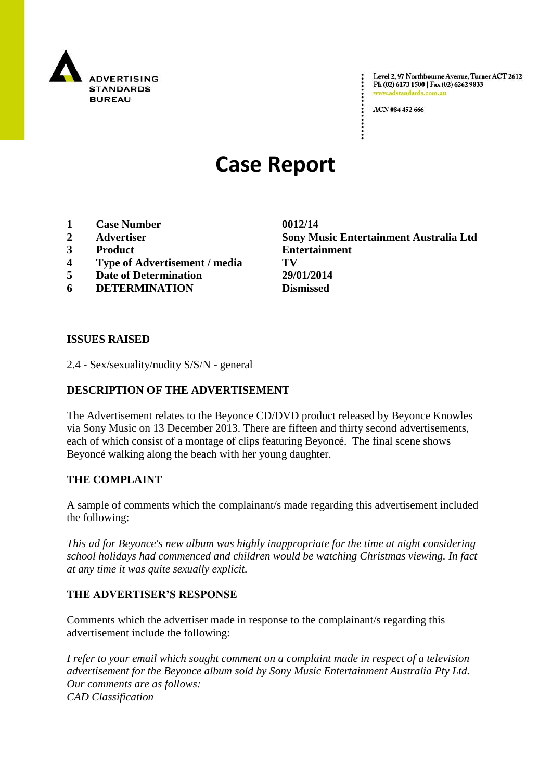

Level 2, 97 Northbourne Avenue, Turner ACT 2612 Ph (02) 6173 1500 | Fax (02) 6262 9833 v.adstandards.c

ACN 084 452 666

# **Case Report**

- **1 Case Number 0012/14**
- 
- 
- **4 Type of Advertisement / media TV**
- **5 Date of Determination 29/01/2014**
- **6 DETERMINATION Dismissed**

**2 Advertiser Sony Music Entertainment Australia Ltd 3 Product Entertainment**

#### **ISSUES RAISED**

2.4 - Sex/sexuality/nudity S/S/N - general

## **DESCRIPTION OF THE ADVERTISEMENT**

The Advertisement relates to the Beyonce CD/DVD product released by Beyonce Knowles via Sony Music on 13 December 2013. There are fifteen and thirty second advertisements, each of which consist of a montage of clips featuring Beyoncé. The final scene shows Beyoncé walking along the beach with her young daughter.

## **THE COMPLAINT**

A sample of comments which the complainant/s made regarding this advertisement included the following:

*This ad for Beyonce's new album was highly inappropriate for the time at night considering school holidays had commenced and children would be watching Christmas viewing. In fact at any time it was quite sexually explicit.*

## **THE ADVERTISER'S RESPONSE**

Comments which the advertiser made in response to the complainant/s regarding this advertisement include the following:

*I refer to your email which sought comment on a complaint made in respect of a television advertisement for the Beyonce album sold by Sony Music Entertainment Australia Pty Ltd. Our comments are as follows: CAD Classification*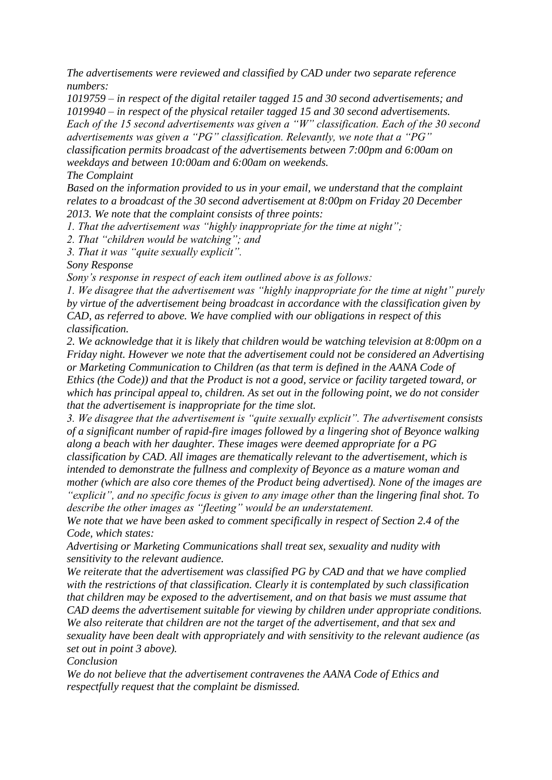*The advertisements were reviewed and classified by CAD under two separate reference numbers:*

*1019759 – in respect of the digital retailer tagged 15 and 30 second advertisements; and 1019940 – in respect of the physical retailer tagged 15 and 30 second advertisements. Each of the 15 second advertisements was given a "W" classification. Each of the 30 second advertisements was given a "PG" classification. Relevantly, we note that a "PG" classification permits broadcast of the advertisements between 7:00pm and 6:00am on weekdays and between 10:00am and 6:00am on weekends.*

*The Complaint*

*Based on the information provided to us in your email, we understand that the complaint relates to a broadcast of the 30 second advertisement at 8:00pm on Friday 20 December 2013. We note that the complaint consists of three points:*

*1. That the advertisement was "highly inappropriate for the time at night";*

*2. That "children would be watching"; and*

*3. That it was "quite sexually explicit".*

*Sony Response*

*Sony's response in respect of each item outlined above is as follows:*

*1. We disagree that the advertisement was "highly inappropriate for the time at night" purely by virtue of the advertisement being broadcast in accordance with the classification given by CAD, as referred to above. We have complied with our obligations in respect of this classification.*

*2. We acknowledge that it is likely that children would be watching television at 8:00pm on a Friday night. However we note that the advertisement could not be considered an Advertising or Marketing Communication to Children (as that term is defined in the AANA Code of Ethics (the Code)) and that the Product is not a good, service or facility targeted toward, or which has principal appeal to, children. As set out in the following point, we do not consider that the advertisement is inappropriate for the time slot.*

*3. We disagree that the advertisement is "quite sexually explicit". The advertisement consists of a significant number of rapid-fire images followed by a lingering shot of Beyonce walking along a beach with her daughter. These images were deemed appropriate for a PG classification by CAD. All images are thematically relevant to the advertisement, which is* 

*intended to demonstrate the fullness and complexity of Beyonce as a mature woman and mother (which are also core themes of the Product being advertised). None of the images are "explicit", and no specific focus is given to any image other than the lingering final shot. To describe the other images as "fleeting" would be an understatement.*

*We note that we have been asked to comment specifically in respect of Section 2.4 of the Code, which states:*

*Advertising or Marketing Communications shall treat sex, sexuality and nudity with sensitivity to the relevant audience.*

*We reiterate that the advertisement was classified PG by CAD and that we have complied with the restrictions of that classification. Clearly it is contemplated by such classification that children may be exposed to the advertisement, and on that basis we must assume that CAD deems the advertisement suitable for viewing by children under appropriate conditions. We also reiterate that children are not the target of the advertisement, and that sex and sexuality have been dealt with appropriately and with sensitivity to the relevant audience (as set out in point 3 above).*

*Conclusion*

*We do not believe that the advertisement contravenes the AANA Code of Ethics and respectfully request that the complaint be dismissed.*